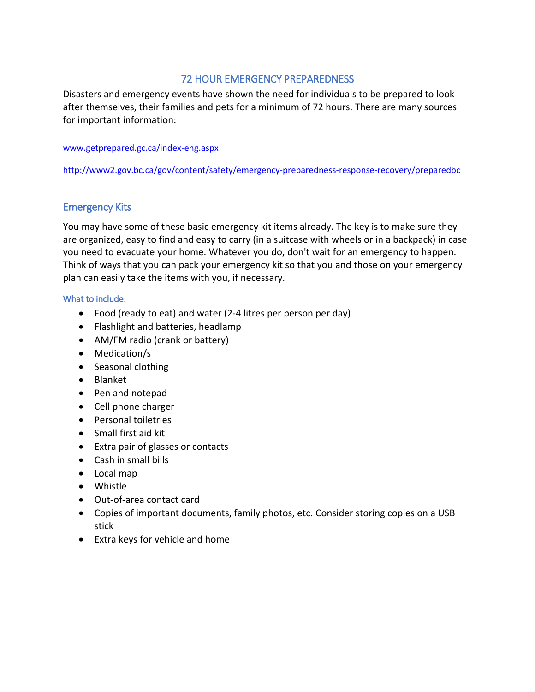# 72 HOUR EMERGENCY PREPAREDNESS

Disasters and emergency events have shown the need for individuals to be prepared to look after themselves, their families and pets for a minimum of 72 hours. There are many sources for important information:

#### [www.getprepared.gc.ca/index-eng.aspx](http://www.getprepared.gc.ca/index-eng.aspx)

<http://www2.gov.bc.ca/gov/content/safety/emergency-preparedness-response-recovery/preparedbc>

# Emergency Kits

You may have some of these basic emergency kit items already. The key is to make sure they are organized, easy to find and easy to carry (in a suitcase with wheels or in a backpack) in case you need to evacuate your home. Whatever you do, don't wait for an emergency to happen. Think of ways that you can pack your emergency kit so that you and those on your emergency plan can easily take the items with you, if necessary.

### What to include:

- Food (ready to eat) and water (2-4 litres per person per day)
- Flashlight and batteries, headlamp
- AM/FM radio (crank or battery)
- Medication/s
- Seasonal clothing
- Blanket
- Pen and notepad
- Cell phone charger
- Personal toiletries
- Small first aid kit
- Extra pair of glasses or contacts
- Cash in small bills
- Local map
- Whistle
- Out-of-area contact card
- Copies of important documents, family photos, etc. Consider storing copies on a USB stick
- Extra keys for vehicle and home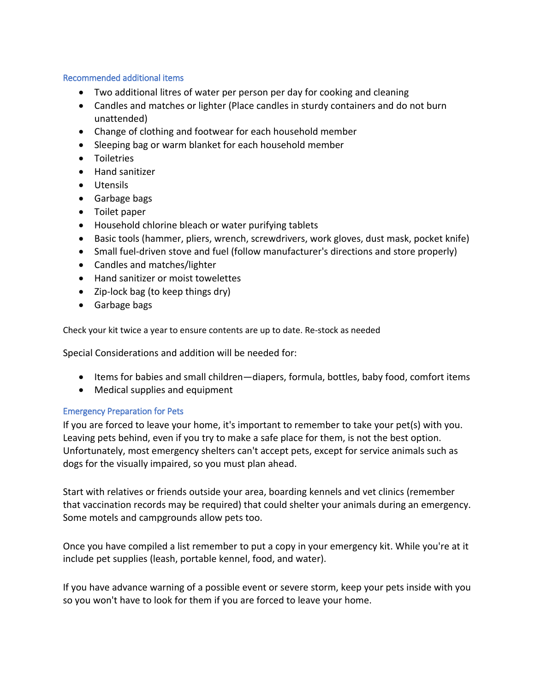#### Recommended additional items

- Two additional litres of water per person per day for cooking and cleaning
- Candles and matches or lighter (Place candles in sturdy containers and do not burn unattended)
- Change of clothing and footwear for each household member
- Sleeping bag or warm blanket for each household member
- **•** Toiletries
- Hand sanitizer
- Utensils
- Garbage bags
- Toilet paper
- Household chlorine bleach or water purifying tablets
- Basic tools (hammer, pliers, wrench, screwdrivers, work gloves, dust mask, pocket knife)
- Small fuel-driven stove and fuel (follow manufacturer's directions and store properly)
- Candles and matches/lighter
- Hand sanitizer or moist towelettes
- Zip-lock bag (to keep things dry)
- Garbage bags

Check your kit twice a year to ensure contents are up to date. Re-stock as needed

Special Considerations and addition will be needed for:

- Items for babies and small children—diapers, formula, bottles, baby food, comfort items
- Medical supplies and equipment

### Emergency Preparation for Pets

If you are forced to leave your home, it's important to remember to take your pet(s) with you. Leaving pets behind, even if you try to make a safe place for them, is not the best option. Unfortunately, most emergency shelters can't accept pets, except for service animals such as dogs for the visually impaired, so you must plan ahead.

Start with relatives or friends outside your area, boarding kennels and vet clinics (remember that vaccination records may be required) that could shelter your animals during an emergency. Some motels and campgrounds allow pets too.

Once you have compiled a list remember to put a copy in your emergency kit. While you're at it include pet supplies (leash, portable kennel, food, and water).

If you have advance warning of a possible event or severe storm, keep your pets inside with you so you won't have to look for them if you are forced to leave your home.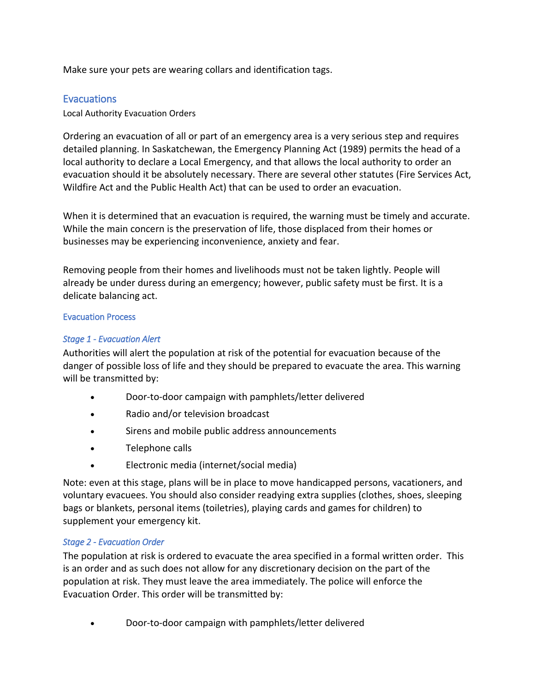Make sure your pets are wearing collars and identification tags.

# **Evacuations**

Local Authority Evacuation Orders

Ordering an evacuation of all or part of an emergency area is a very serious step and requires detailed planning. In Saskatchewan, the Emergency Planning Act (1989) permits the head of a local authority to declare a Local Emergency, and that allows the local authority to order an evacuation should it be absolutely necessary. There are several other statutes (Fire Services Act, Wildfire Act and the Public Health Act) that can be used to order an evacuation.

When it is determined that an evacuation is required, the warning must be timely and accurate. While the main concern is the preservation of life, those displaced from their homes or businesses may be experiencing inconvenience, anxiety and fear.

Removing people from their homes and livelihoods must not be taken lightly. People will already be under duress during an emergency; however, public safety must be first. It is a delicate balancing act.

### Evacuation Process

# *Stage 1 - Evacuation Alert*

Authorities will alert the population at risk of the potential for evacuation because of the danger of possible loss of life and they should be prepared to evacuate the area. This warning will be transmitted by:

- Door-to-door campaign with pamphlets/letter delivered
- Radio and/or television broadcast
- Sirens and mobile public address announcements
- Telephone calls
- Electronic media (internet/social media)

Note: even at this stage, plans will be in place to move handicapped persons, vacationers, and voluntary evacuees. You should also consider readying extra supplies (clothes, shoes, sleeping bags or blankets, personal items (toiletries), playing cards and games for children) to supplement your emergency kit.

### *Stage 2 - Evacuation Order*

The population at risk is ordered to evacuate the area specified in a formal written order. This is an order and as such does not allow for any discretionary decision on the part of the population at risk. They must leave the area immediately. The police will enforce the Evacuation Order. This order will be transmitted by:

Door-to-door campaign with pamphlets/letter delivered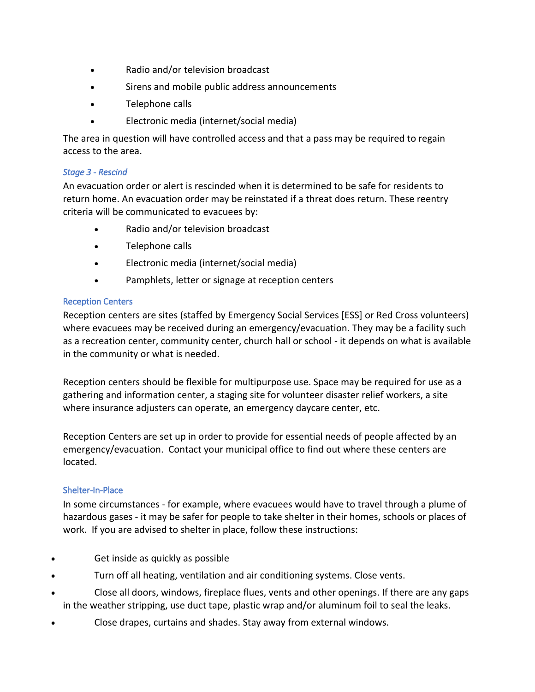- Radio and/or television broadcast
- Sirens and mobile public address announcements
- Telephone calls
- Electronic media (internet/social media)

The area in question will have controlled access and that a pass may be required to regain access to the area.

### *Stage 3 - Rescind*

An evacuation order or alert is rescinded when it is determined to be safe for residents to return home. An evacuation order may be reinstated if a threat does return. These reentry criteria will be communicated to evacuees by:

- Radio and/or television broadcast
- Telephone calls
- Electronic media (internet/social media)
- Pamphlets, letter or signage at reception centers

# Reception Centers

Reception centers are sites (staffed by Emergency Social Services [ESS] or Red Cross volunteers) where evacuees may be received during an emergency/evacuation. They may be a facility such as a recreation center, community center, church hall or school - it depends on what is available in the community or what is needed.

Reception centers should be flexible for multipurpose use. Space may be required for use as a gathering and information center, a staging site for volunteer disaster relief workers, a site where insurance adjusters can operate, an emergency daycare center, etc.

Reception Centers are set up in order to provide for essential needs of people affected by an emergency/evacuation. Contact your municipal office to find out where these centers are located.

# Shelter-In-Place

In some circumstances - for example, where evacuees would have to travel through a plume of hazardous gases - it may be safer for people to take shelter in their homes, schools or places of work. If you are advised to shelter in place, follow these instructions:

- Get inside as quickly as possible
- Turn off all heating, ventilation and air conditioning systems. Close vents.
- Close all doors, windows, fireplace flues, vents and other openings. If there are any gaps in the weather stripping, use duct tape, plastic wrap and/or aluminum foil to seal the leaks.
- Close drapes, curtains and shades. Stay away from external windows.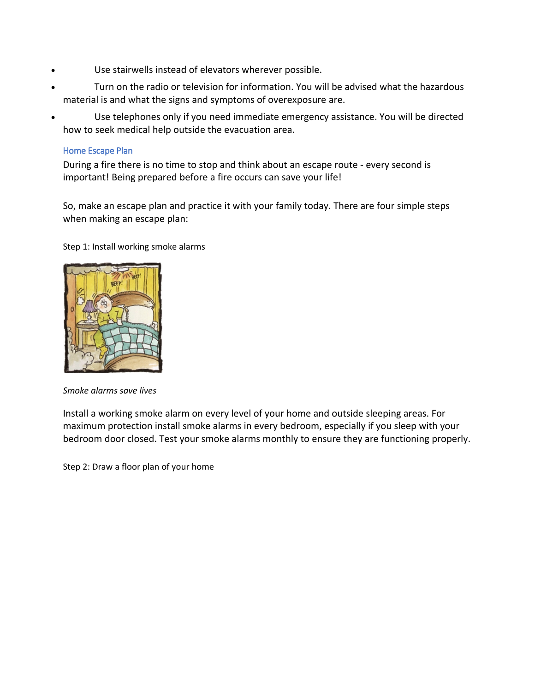- Use stairwells instead of elevators wherever possible.
- Turn on the radio or television for information. You will be advised what the hazardous material is and what the signs and symptoms of overexposure are.
- Use telephones only if you need immediate emergency assistance. You will be directed how to seek medical help outside the evacuation area.

### Home Escape Plan

During a fire there is no time to stop and think about an escape route - every second is important! Being prepared before a fire occurs can save your life!

So, make an escape plan and practice it with your family today. There are four simple steps when making an escape plan:

Step 1: Install working smoke alarms



*Smoke alarms save lives*

Install a working smoke alarm on every level of your home and outside sleeping areas. For maximum protection install smoke alarms in every bedroom, especially if you sleep with your bedroom door closed. Test your smoke alarms monthly to ensure they are functioning properly.

Step 2: Draw a floor plan of your home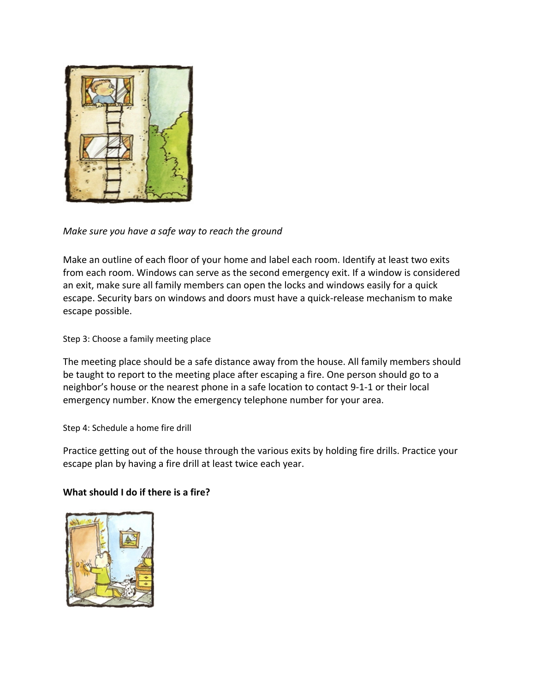

# *Make sure you have a safe way to reach the ground*

Make an outline of each floor of your home and label each room. Identify at least two exits from each room. Windows can serve as the second emergency exit. If a window is considered an exit, make sure all family members can open the locks and windows easily for a quick escape. Security bars on windows and doors must have a quick-release mechanism to make escape possible.

Step 3: Choose a family meeting place

The meeting place should be a safe distance away from the house. All family members should be taught to report to the meeting place after escaping a fire. One person should go to a neighbor's house or the nearest phone in a safe location to contact 9-1-1 or their local emergency number. Know the emergency telephone number for your area.

Step 4: Schedule a home fire drill

Practice getting out of the house through the various exits by holding fire drills. Practice your escape plan by having a fire drill at least twice each year.

# **What should I do if there is a fire?**

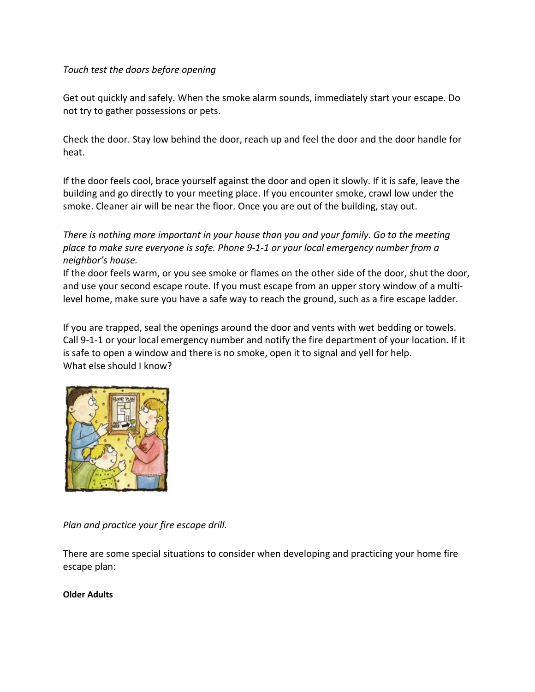### *Touch test the doors before opening*

Get out quickly and safely. When the smoke alarm sounds, immediately start your escape. Do not try to gather possessions or pets.

Check the door. Stay low behind the door, reach up and feel the door and the door handle for heat.

If the door feels cool, brace yourself against the door and open it slowly. If it is safe, leave the building and go directly to your meeting place. If you encounter smoke, crawl low under the smoke. Cleaner air will be near the floor. Once you are out of the building, stay out.

*There is nothing more important in your house than you and your family. Go to the meeting place to make sure everyone is safe. Phone 9-1-1 or your local emergency number from a neighbor's house.*

If the door feels warm, or you see smoke or flames on the other side of the door, shut the door, and use your second escape route. If you must escape from an upper story window of a multilevel home, make sure you have a safe way to reach the ground, such as a fire escape ladder.

If you are trapped, seal the openings around the door and vents with wet bedding or towels. Call 9-1-1 or your local emergency number and notify the fire department of your location. If it is safe to open a window and there is no smoke, open it to signal and yell for help. What else should I know?



*Plan and practice your fire escape drill.*

There are some special situations to consider when developing and practicing your home fire escape plan:

### **Older Adults**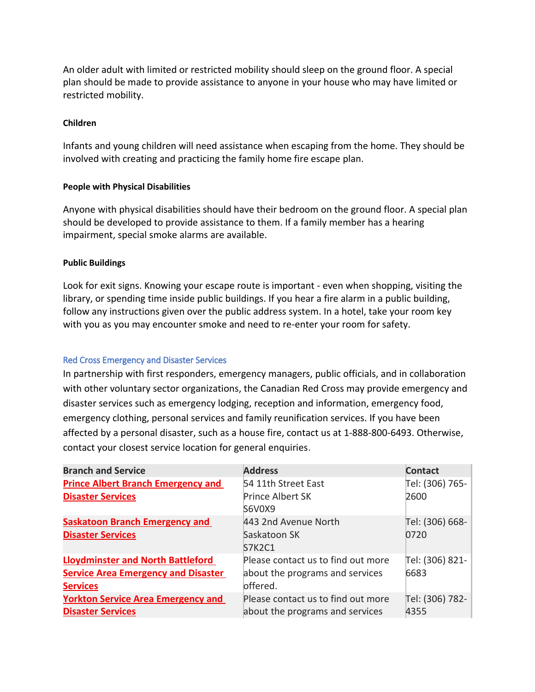An older adult with limited or restricted mobility should sleep on the ground floor. A special plan should be made to provide assistance to anyone in your house who may have limited or restricted mobility.

#### **Children**

Infants and young children will need assistance when escaping from the home. They should be involved with creating and practicing the family home fire escape plan.

#### **People with Physical Disabilities**

Anyone with physical disabilities should have their bedroom on the ground floor. A special plan should be developed to provide assistance to them. If a family member has a hearing impairment, special smoke alarms are available.

#### **Public Buildings**

Look for exit signs. Knowing your escape route is important - even when shopping, visiting the library, or spending time inside public buildings. If you hear a fire alarm in a public building, follow any instructions given over the public address system. In a hotel, take your room key with you as you may encounter smoke and need to re-enter your room for safety.

### Red Cross Emergency and Disaster Services

In partnership with first responders, emergency managers, public officials, and in collaboration with other voluntary sector organizations, the Canadian Red Cross may provide emergency and disaster services such as emergency lodging, reception and information, emergency food, emergency clothing, personal services and family reunification services. If you have been affected by a personal disaster, such as a house fire, contact us at 1-888-800-6493. Otherwise, contact your closest service location for general enquiries.

| <b>Branch and Service</b>                  | <b>Address</b>                     | <b>Contact</b>  |
|--------------------------------------------|------------------------------------|-----------------|
| <b>Prince Albert Branch Emergency and</b>  | 54 11th Street East                | Tel: (306) 765- |
| <b>Disaster Services</b>                   | Prince Albert SK                   | 2600            |
|                                            | S6V0X9                             |                 |
| <b>Saskatoon Branch Emergency and</b>      | 443 2nd Avenue North               | Tel: (306) 668- |
| <b>Disaster Services</b>                   | Saskatoon SK                       | 0720            |
|                                            | <b>S7K2C1</b>                      |                 |
| <b>Lloydminster and North Battleford</b>   | Please contact us to find out more | Tel: (306) 821- |
| <b>Service Area Emergency and Disaster</b> | about the programs and services    | 6683            |
| <b>Services</b>                            | offered.                           |                 |
| <b>Yorkton Service Area Emergency and</b>  | Please contact us to find out more | Tel: (306) 782- |
| <b>Disaster Services</b>                   | about the programs and services    | 4355            |